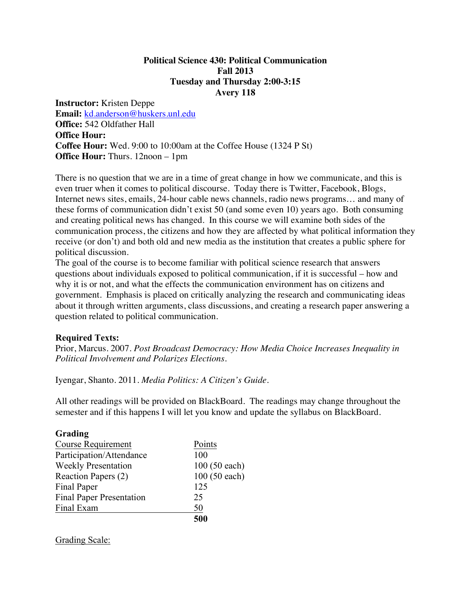### **Political Science 430: Political Communication Fall 2013 Tuesday and Thursday 2:00-3:15 Avery 118**

**Instructor:** Kristen Deppe **Email:** kd.anderson@huskers.unl.edu **Office:** 542 Oldfather Hall **Office Hour: Coffee Hour:** Wed. 9:00 to 10:00am at the Coffee House (1324 P St) **Office Hour:** Thurs. 12noon – 1pm

There is no question that we are in a time of great change in how we communicate, and this is even truer when it comes to political discourse. Today there is Twitter, Facebook, Blogs, Internet news sites, emails, 24-hour cable news channels, radio news programs… and many of these forms of communication didn't exist 50 (and some even 10) years ago. Both consuming and creating political news has changed. In this course we will examine both sides of the communication process, the citizens and how they are affected by what political information they receive (or don't) and both old and new media as the institution that creates a public sphere for political discussion.

The goal of the course is to become familiar with political science research that answers questions about individuals exposed to political communication, if it is successful – how and why it is or not, and what the effects the communication environment has on citizens and government. Emphasis is placed on critically analyzing the research and communicating ideas about it through written arguments, class discussions, and creating a research paper answering a question related to political communication.

### **Required Texts:**

Prior, Marcus. 2007. *Post Broadcast Democracy: How Media Choice Increases Inequality in Political Involvement and Polarizes Elections.*

Iyengar, Shanto. 2011. *Media Politics: A Citizen's Guide*.

All other readings will be provided on BlackBoard. The readings may change throughout the semester and if this happens I will let you know and update the syllabus on BlackBoard.

| Grading                         |               |
|---------------------------------|---------------|
| <b>Course Requirement</b>       | Points        |
| Participation/Attendance        | 100           |
| <b>Weekly Presentation</b>      | 100 (50 each) |
| Reaction Papers (2)             | 100 (50 each) |
| Final Paper                     | 125           |
| <b>Final Paper Presentation</b> | 25            |
| Final Exam                      | 50            |
|                                 | 500           |

Grading Scale: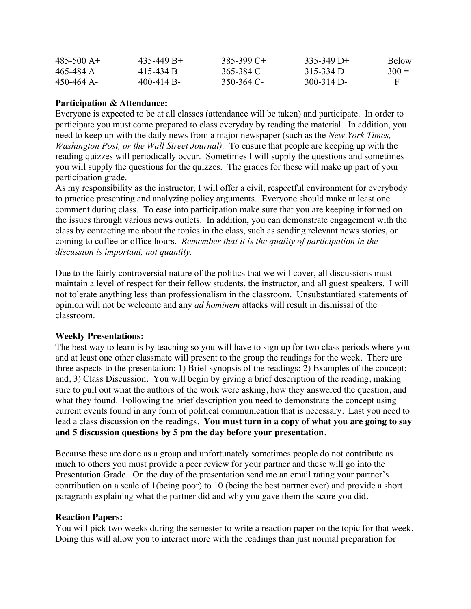| $485 - 500$ A+ | $435 - 449 B +$ | 385-399 C+ | $335-349$ D+ | <b>Below</b> |
|----------------|-----------------|------------|--------------|--------------|
| 465-484 A      | 415-434 B       | 365-384 C  | $315-334$ D  | $300 =$      |
| 450-464 A-     | $400 - 414 B$   | 350-364 C- | $300-314$ D- |              |

# **Participation & Attendance:**

Everyone is expected to be at all classes (attendance will be taken) and participate. In order to participate you must come prepared to class everyday by reading the material. In addition, you need to keep up with the daily news from a major newspaper (such as the *New York Times, Washington Post, or the Wall Street Journal).* To ensure that people are keeping up with the reading quizzes will periodically occur. Sometimes I will supply the questions and sometimes you will supply the questions for the quizzes. The grades for these will make up part of your participation grade.

As my responsibility as the instructor, I will offer a civil, respectful environment for everybody to practice presenting and analyzing policy arguments. Everyone should make at least one comment during class. To ease into participation make sure that you are keeping informed on the issues through various news outlets. In addition, you can demonstrate engagement with the class by contacting me about the topics in the class, such as sending relevant news stories, or coming to coffee or office hours. *Remember that it is the quality of participation in the discussion is important, not quantity.*

Due to the fairly controversial nature of the politics that we will cover, all discussions must maintain a level of respect for their fellow students, the instructor, and all guest speakers. I will not tolerate anything less than professionalism in the classroom. Unsubstantiated statements of opinion will not be welcome and any *ad hominem* attacks will result in dismissal of the classroom.

### **Weekly Presentations:**

The best way to learn is by teaching so you will have to sign up for two class periods where you and at least one other classmate will present to the group the readings for the week. There are three aspects to the presentation: 1) Brief synopsis of the readings; 2) Examples of the concept; and, 3) Class Discussion. You will begin by giving a brief description of the reading, making sure to pull out what the authors of the work were asking, how they answered the question, and what they found. Following the brief description you need to demonstrate the concept using current events found in any form of political communication that is necessary. Last you need to lead a class discussion on the readings. **You must turn in a copy of what you are going to say and 5 discussion questions by 5 pm the day before your presentation**.

Because these are done as a group and unfortunately sometimes people do not contribute as much to others you must provide a peer review for your partner and these will go into the Presentation Grade. On the day of the presentation send me an email rating your partner's contribution on a scale of 1(being poor) to 10 (being the best partner ever) and provide a short paragraph explaining what the partner did and why you gave them the score you did.

### **Reaction Papers:**

You will pick two weeks during the semester to write a reaction paper on the topic for that week. Doing this will allow you to interact more with the readings than just normal preparation for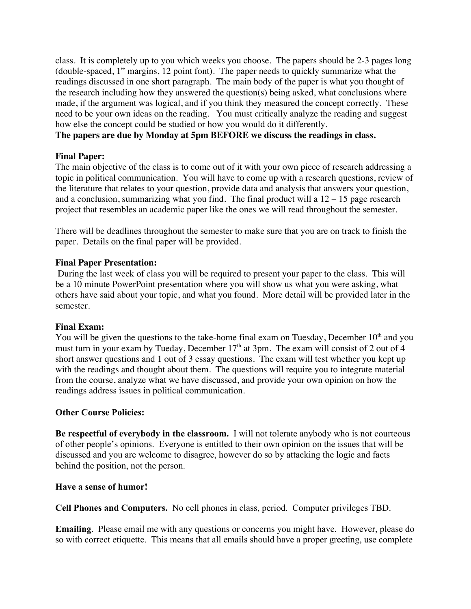class. It is completely up to you which weeks you choose. The papers should be 2-3 pages long (double-spaced, 1" margins, 12 point font). The paper needs to quickly summarize what the readings discussed in one short paragraph. The main body of the paper is what you thought of the research including how they answered the question(s) being asked, what conclusions where made, if the argument was logical, and if you think they measured the concept correctly. These need to be your own ideas on the reading. You must critically analyze the reading and suggest how else the concept could be studied or how you would do it differently.

### **The papers are due by Monday at 5pm BEFORE we discuss the readings in class.**

# **Final Paper:**

The main objective of the class is to come out of it with your own piece of research addressing a topic in political communication. You will have to come up with a research questions, review of the literature that relates to your question, provide data and analysis that answers your question, and a conclusion, summarizing what you find. The final product will a  $12 - 15$  page research project that resembles an academic paper like the ones we will read throughout the semester.

There will be deadlines throughout the semester to make sure that you are on track to finish the paper. Details on the final paper will be provided.

# **Final Paper Presentation:**

During the last week of class you will be required to present your paper to the class. This will be a 10 minute PowerPoint presentation where you will show us what you were asking, what others have said about your topic, and what you found. More detail will be provided later in the semester.

### **Final Exam:**

You will be given the questions to the take-home final exam on Tuesday, December  $10<sup>th</sup>$  and you must turn in your exam by Tueday, December  $17<sup>th</sup>$  at 3pm. The exam will consist of 2 out of 4 short answer questions and 1 out of 3 essay questions. The exam will test whether you kept up with the readings and thought about them. The questions will require you to integrate material from the course, analyze what we have discussed, and provide your own opinion on how the readings address issues in political communication.

### **Other Course Policies:**

**Be respectful of everybody in the classroom.** I will not tolerate anybody who is not courteous of other people's opinions. Everyone is entitled to their own opinion on the issues that will be discussed and you are welcome to disagree, however do so by attacking the logic and facts behind the position, not the person.

### **Have a sense of humor!**

**Cell Phones and Computers.** No cell phones in class, period. Computer privileges TBD.

**Emailing**. Please email me with any questions or concerns you might have. However, please do so with correct etiquette. This means that all emails should have a proper greeting, use complete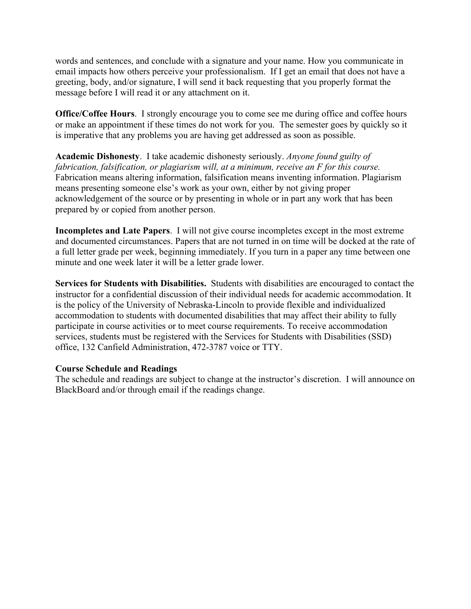words and sentences, and conclude with a signature and your name. How you communicate in email impacts how others perceive your professionalism. If I get an email that does not have a greeting, body, and/or signature, I will send it back requesting that you properly format the message before I will read it or any attachment on it.

**Office/Coffee Hours**. I strongly encourage you to come see me during office and coffee hours or make an appointment if these times do not work for you. The semester goes by quickly so it is imperative that any problems you are having get addressed as soon as possible.

**Academic Dishonesty**. I take academic dishonesty seriously. *Anyone found guilty of fabrication, falsification, or plagiarism will, at a minimum, receive an F for this course.* Fabrication means altering information, falsification means inventing information. Plagiarism means presenting someone else's work as your own, either by not giving proper acknowledgement of the source or by presenting in whole or in part any work that has been prepared by or copied from another person.

**Incompletes and Late Papers**. I will not give course incompletes except in the most extreme and documented circumstances. Papers that are not turned in on time will be docked at the rate of a full letter grade per week, beginning immediately. If you turn in a paper any time between one minute and one week later it will be a letter grade lower.

**Services for Students with Disabilities.** Students with disabilities are encouraged to contact the instructor for a confidential discussion of their individual needs for academic accommodation. It is the policy of the University of Nebraska-Lincoln to provide flexible and individualized accommodation to students with documented disabilities that may affect their ability to fully participate in course activities or to meet course requirements. To receive accommodation services, students must be registered with the Services for Students with Disabilities (SSD) office, 132 Canfield Administration, 472-3787 voice or TTY.

### **Course Schedule and Readings**

The schedule and readings are subject to change at the instructor's discretion. I will announce on BlackBoard and/or through email if the readings change.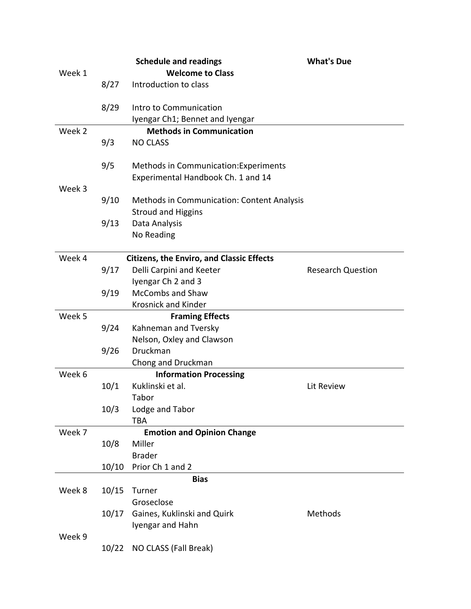|        |                                   | <b>Schedule and readings</b>                                                | <b>What's Due</b>        |  |
|--------|-----------------------------------|-----------------------------------------------------------------------------|--------------------------|--|
| Week 1 |                                   | <b>Welcome to Class</b>                                                     |                          |  |
|        | 8/27                              | Introduction to class                                                       |                          |  |
|        | 8/29                              | Intro to Communication                                                      |                          |  |
|        |                                   | Iyengar Ch1; Bennet and Iyengar                                             |                          |  |
| Week 2 |                                   | <b>Methods in Communication</b>                                             |                          |  |
|        | 9/3                               | <b>NO CLASS</b>                                                             |                          |  |
| Week 3 | 9/5                               | Methods in Communication: Experiments<br>Experimental Handbook Ch. 1 and 14 |                          |  |
|        | 9/10                              | Methods in Communication: Content Analysis<br><b>Stroud and Higgins</b>     |                          |  |
|        | 9/13                              | Data Analysis                                                               |                          |  |
|        |                                   | No Reading                                                                  |                          |  |
| Week 4 |                                   | <b>Citizens, the Enviro, and Classic Effects</b>                            |                          |  |
|        | 9/17                              | Delli Carpini and Keeter                                                    | <b>Research Question</b> |  |
|        |                                   | Iyengar Ch 2 and 3                                                          |                          |  |
|        | 9/19                              | <b>McCombs and Shaw</b>                                                     |                          |  |
|        |                                   | <b>Krosnick and Kinder</b>                                                  |                          |  |
| Week 5 |                                   | <b>Framing Effects</b>                                                      |                          |  |
|        | 9/24                              | Kahneman and Tversky                                                        |                          |  |
|        |                                   | Nelson, Oxley and Clawson                                                   |                          |  |
|        | 9/26                              | Druckman                                                                    |                          |  |
|        |                                   | Chong and Druckman                                                          |                          |  |
| Week 6 |                                   | <b>Information Processing</b>                                               |                          |  |
|        | 10/1                              | Kuklinski et al.                                                            | Lit Review               |  |
|        |                                   | Tabor                                                                       |                          |  |
|        | 10/3                              | Lodge and Tabor                                                             |                          |  |
|        |                                   | <b>TBA</b>                                                                  |                          |  |
| Week 7 | <b>Emotion and Opinion Change</b> |                                                                             |                          |  |
|        | 10/8                              | Miller                                                                      |                          |  |
|        |                                   | <b>Brader</b>                                                               |                          |  |
|        | 10/10                             | Prior Ch 1 and 2                                                            |                          |  |
|        |                                   | <b>Bias</b>                                                                 |                          |  |
| Week 8 | 10/15                             | Turner                                                                      |                          |  |
|        |                                   | Groseclose                                                                  |                          |  |
|        | 10/17                             | Gaines, Kuklinski and Quirk                                                 | Methods                  |  |
|        |                                   | Iyengar and Hahn                                                            |                          |  |
| Week 9 |                                   |                                                                             |                          |  |
|        | 10/22                             | NO CLASS (Fall Break)                                                       |                          |  |